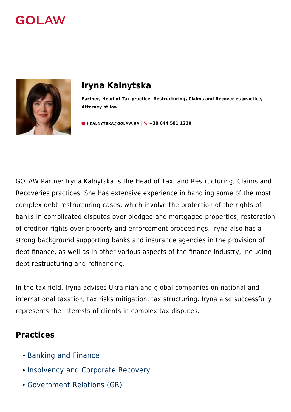



# **Iryna Kalnytska**

**Partner, Head of Tax practice, Restructuring, Claims and Recoveries practice, Attorney at law**

**M[I.KALNYTSKA@GOLAW.UA](mailto:info@golaw.ua) | & +38 044 581 1220** 

GOLAW Partner Iryna Kalnytska is the Head of Tax, and Restructuring, Claims and Recoveries practices. She has extensive experience in handling some of the most complex debt restructuring cases, which involve the protection of the rights of banks in complicated disputes over pledged and mortgaged properties, restoration of creditor rights over property and enforcement proceedings. Iryna also has a strong background supporting banks and insurance agencies in the provision of debt finance, as well as in other various aspects of the finance industry, including debt restructuring and refinancing.

In the tax field, Iryna advises Ukrainian and global companies on national and international taxation, tax risks mitigation, tax structuring. Iryna also successfully represents the interests of clients in complex tax disputes.

#### **Practices**

- [Banking and Finance](#page--1-0)
- [Insolvency and Corporate Recovery](#page--1-0)
- [Government Relations \(GR\)](#page--1-0)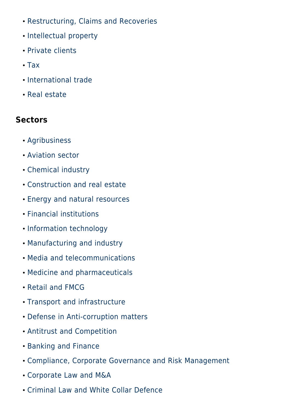- [Restructuring, Claims and Recoveries](#page--1-0)
- [Intellectual property](#page--1-0)
- [Private clients](#page--1-0)
- [Tax](#page--1-0)
- [International trade](#page--1-0)
- [Real estate](#page--1-0)

### **Sectors**

- [Agribusiness](#page--1-0)
- [Aviation sector](#page--1-0)
- [Chemical industry](#page--1-0)
- [Construction and real estate](#page--1-0)
- [Energy and natural resources](#page--1-0)
- [Financial institutions](#page--1-0)
- [Information technology](#page--1-0)
- [Manufacturing and industry](#page--1-0)
- [Media and telecommunications](#page--1-0)
- [Medicine and pharmaceuticals](#page--1-0)
- [Retail and FMCG](#page--1-0)
- [Transport and infrastructure](#page--1-0)
- [Defense in Anti-corruption matters](#page--1-0)
- [Antitrust and Competition](#page--1-0)
- [Banking and Finance](#page--1-0)
- [Compliance, Corporate Governance and Risk Management](#page--1-0)
- [Corporate Law and M&A](#page--1-0)
- [Criminal Law and White Collar Defence](#page--1-0)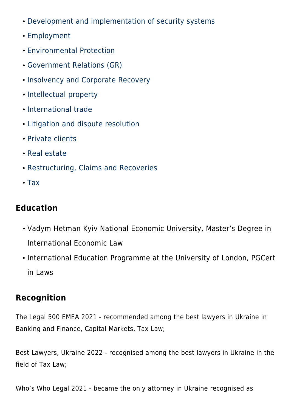- [Development and implementation of security systems](#page--1-0)
- [Employment](#page--1-0)
- [Environmental Protection](#page--1-0)
- [Government Relations \(GR\)](#page--1-0)
- [Insolvency and Corporate Recovery](#page--1-0)
- [Intellectual property](#page--1-0)
- [International trade](#page--1-0)
- [Litigation and dispute resolution](#page--1-0)
- [Private clients](#page--1-0)
- [Real estate](#page--1-0)
- [Restructuring, Claims and Recoveries](#page--1-0)
- $\cdot$  [Tax](#page--1-0)

### **Education**

- Vadym Hetman Kyiv National Economic University, Master's Degree in International Economic Law
- International Education Programme at the University of London, PGCert in Laws

## **Recognition**

The Legal 500 EMEA 2021 - recommended among the best lawyers in Ukraine in Banking and Finance, Capital Markets, Tax Law;

Best Lawyers, Ukraine 2022 - recognised among the best lawyers in Ukraine in the field of Tax Law;

Who's Who Legal 2021 - became the only attorney in Ukraine recognised as